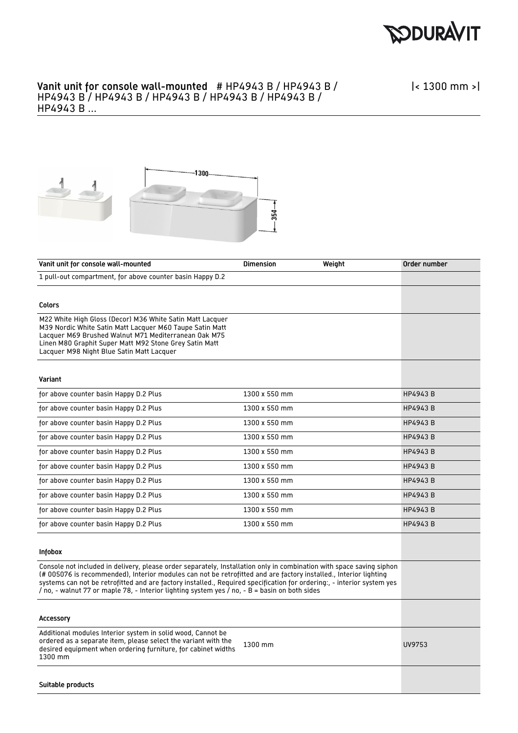

## Vanit unit for console wall-mounted # HP4943 B / HP4943 B / HP4943 B / HP4943 B / HP4943 B / HP4943 B / HP4943 B / HP4943 B ...

|< 1300 mm >|



| Vanit unit for console wall-mounted                                                                                                                                                                                                                                                                                                                                                                                                                                 | <b>Dimension</b> | Weight | Order number   |
|---------------------------------------------------------------------------------------------------------------------------------------------------------------------------------------------------------------------------------------------------------------------------------------------------------------------------------------------------------------------------------------------------------------------------------------------------------------------|------------------|--------|----------------|
| 1 pull-out compartment, for above counter basin Happy D.2                                                                                                                                                                                                                                                                                                                                                                                                           |                  |        |                |
|                                                                                                                                                                                                                                                                                                                                                                                                                                                                     |                  |        |                |
| Colors                                                                                                                                                                                                                                                                                                                                                                                                                                                              |                  |        |                |
| M22 White High Gloss (Decor) M36 White Satin Matt Lacquer<br>M39 Nordic White Satin Matt Lacquer M60 Taupe Satin Matt<br>Lacquer M69 Brushed Walnut M71 Mediterranean Oak M75<br>Linen M80 Graphit Super Matt M92 Stone Grey Satin Matt<br>Lacquer M98 Night Blue Satin Matt Lacquer                                                                                                                                                                                |                  |        |                |
| Variant                                                                                                                                                                                                                                                                                                                                                                                                                                                             |                  |        |                |
| for above counter basin Happy D.2 Plus                                                                                                                                                                                                                                                                                                                                                                                                                              | 1300 x 550 mm    |        | <b>HP4943B</b> |
| for above counter basin Happy D.2 Plus                                                                                                                                                                                                                                                                                                                                                                                                                              | 1300 x 550 mm    |        | <b>HP4943B</b> |
| for above counter basin Happy D.2 Plus                                                                                                                                                                                                                                                                                                                                                                                                                              | 1300 x 550 mm    |        | <b>HP4943B</b> |
| for above counter basin Happy D.2 Plus                                                                                                                                                                                                                                                                                                                                                                                                                              | 1300 x 550 mm    |        | <b>HP4943B</b> |
| for above counter basin Happy D.2 Plus                                                                                                                                                                                                                                                                                                                                                                                                                              | 1300 x 550 mm    |        | <b>HP4943B</b> |
| for above counter basin Happy D.2 Plus                                                                                                                                                                                                                                                                                                                                                                                                                              | 1300 x 550 mm    |        | <b>HP4943B</b> |
| for above counter basin Happy D.2 Plus                                                                                                                                                                                                                                                                                                                                                                                                                              | 1300 x 550 mm    |        | <b>HP4943B</b> |
| for above counter basin Happy D.2 Plus                                                                                                                                                                                                                                                                                                                                                                                                                              | 1300 x 550 mm    |        | <b>HP4943B</b> |
| for above counter basin Happy D.2 Plus                                                                                                                                                                                                                                                                                                                                                                                                                              | 1300 x 550 mm    |        | <b>HP4943B</b> |
| for above counter basin Happy D.2 Plus                                                                                                                                                                                                                                                                                                                                                                                                                              | 1300 x 550 mm    |        | <b>HP4943B</b> |
| Infobox                                                                                                                                                                                                                                                                                                                                                                                                                                                             |                  |        |                |
| Console not included in delivery, please order separately, Installation only in combination with space saving siphon<br>(# 005076 is recommended), Interior modules can not be retrofitted and are factory installed., Interior lighting<br>systems can not be retrofitted and are factory installed., Required specification for ordering:, - interior system yes<br>/ no, - walnut 77 or maple 78, - Interior lighting system yes / no, - B = basin on both sides |                  |        |                |
| Accessory                                                                                                                                                                                                                                                                                                                                                                                                                                                           |                  |        |                |
| Additional modules Interior system in solid wood, Cannot be<br>ordered as a separate item, please select the variant with the<br>desired equipment when ordering furniture, for cabinet widths<br>1300 mm                                                                                                                                                                                                                                                           | 1300 mm          |        | UV9753         |
| Suitable products                                                                                                                                                                                                                                                                                                                                                                                                                                                   |                  |        |                |